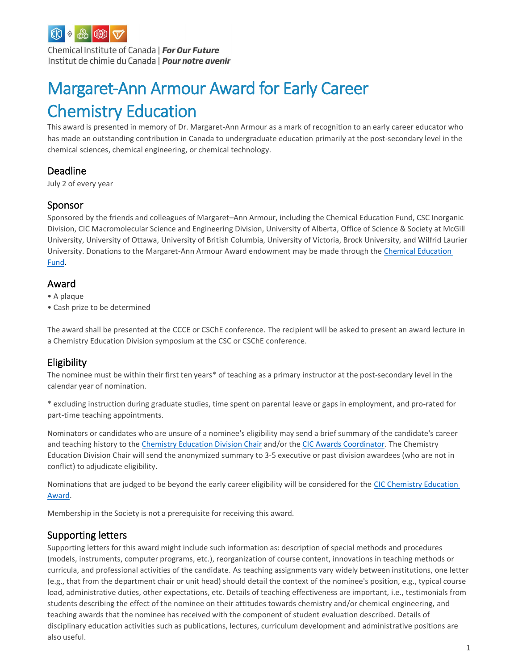

Chemical Institute of Canada | For Our Future Institut de chimie du Canada | Pour notre avenir

# Margaret-Ann Armour Award for Early Career Chemistry Education

This award is presented in memory of Dr. Margaret-Ann Armour as a mark of recognition to an early career educator who has made an outstanding contribution in Canada to undergraduate education primarily at the post-secondary level in the chemical sciences, chemical engineering, or chemical technology.

## Deadline

July 2 of every year

## Sponsor

Sponsored by the friends and colleagues of Margaret–Ann Armour, including the Chemical Education Fund, CSC Inorganic Division, CIC Macromolecular Science and Engineering Division, University of Alberta, Office of Science & Society at McGill University, University of Ottawa, University of British Columbia, University of Victoria, Brock University, and Wilfrid Laurier University. Donations to the Margaret-Ann Armour Award endowment may be made through the [Chemical Education](https://www.cheminst.ca/about/about-cef/) [Fund.](https://www.cheminst.ca/about/about-cef/)

## Award

- A plaque
- Cash prize to be determined

The award shall be presented at the CCCE or CSChE conference. The recipient will be asked to present an award lecture in a Chemistry Education Division symposium at the CSC or CSChE conference.

## Eligibility

The nominee must be within their first ten years\* of teaching as a primary instructor at the post-secondary level in the calendar year of nomination.

\* excluding instruction during graduate studies, time spent on parental leave or gaps in employment, and pro-rated for part-time teaching appointments.

Nominators or candidates who are unsure of a nominee's eligibility may send a brief summary of the candidate's career and teaching history to the Chemistry Education [Division Chair](mailto:stephen.mcneil@ubc.ca) and/or th[e CIC Awards Coordinator.](mailto:rkatagiri@cheminst.ca) The Chemistry Education Division Chair will send the anonymized summary to 3-5 executive or past division awardees (who are not in conflict) to adjudicate eligibility.

Nominations that are judged to be beyond the early career eligibility will be considered for the [CIC Chemistry Education](https://www.cheminst.ca/awards/cic/chem-ed/)  [Award.](https://www.cheminst.ca/awards/cic/chem-ed/)

Membership in the Society is not a prerequisite for receiving this award.

#### Supporting letters

Supporting letters for this award might include such information as: description of special methods and procedures (models, instruments, computer programs, etc.), reorganization of course content, innovations in teaching methods or curricula, and professional activities of the candidate. As teaching assignments vary widely between institutions, one letter (e.g., that from the department chair or unit head) should detail the context of the nominee's position, e.g., typical course load, administrative duties, other expectations, etc. Details of teaching effectiveness are important, i.e., testimonials from students describing the effect of the nominee on their attitudes towards chemistry and/or chemical engineering, and teaching awards that the nominee has received with the component of student evaluation described. Details of disciplinary education activities such as publications, lectures, curriculum development and administrative positions are also useful.